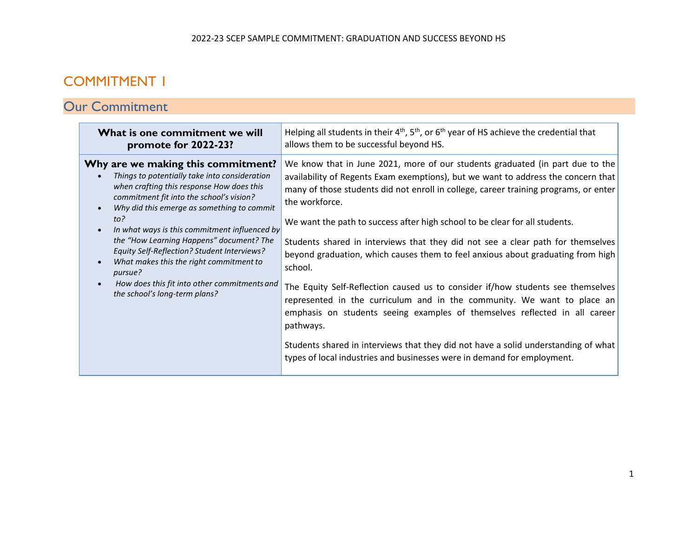## COMMITMENT 1

# Our Commitment

| What is one commitment we will<br>promote for 2022-23?                                                                                                                                                                                                                                                                                                                                                                                                                                                                  | Helping all students in their $4th$ , $5th$ , or $6th$ year of HS achieve the credential that<br>allows them to be successful beyond HS.                                                                                                                                                                                                                                                                                                                                                                                                                                                                                                                                                                                                                                                                                                                                                                                                                               |
|-------------------------------------------------------------------------------------------------------------------------------------------------------------------------------------------------------------------------------------------------------------------------------------------------------------------------------------------------------------------------------------------------------------------------------------------------------------------------------------------------------------------------|------------------------------------------------------------------------------------------------------------------------------------------------------------------------------------------------------------------------------------------------------------------------------------------------------------------------------------------------------------------------------------------------------------------------------------------------------------------------------------------------------------------------------------------------------------------------------------------------------------------------------------------------------------------------------------------------------------------------------------------------------------------------------------------------------------------------------------------------------------------------------------------------------------------------------------------------------------------------|
| Why are we making this commitment?<br>Things to potentially take into consideration<br>when crafting this response How does this<br>commitment fit into the school's vision?<br>Why did this emerge as something to commit<br>$to$ ?<br>In what ways is this commitment influenced by<br>the "How Learning Happens" document? The<br>Equity Self-Reflection? Student Interviews?<br>What makes this the right commitment to<br>pursue?<br>How does this fit into other commitments and<br>the school's long-term plans? | We know that in June 2021, more of our students graduated (in part due to the<br>availability of Regents Exam exemptions), but we want to address the concern that<br>many of those students did not enroll in college, career training programs, or enter<br>the workforce.<br>We want the path to success after high school to be clear for all students.<br>Students shared in interviews that they did not see a clear path for themselves<br>beyond graduation, which causes them to feel anxious about graduating from high<br>school.<br>The Equity Self-Reflection caused us to consider if/how students see themselves<br>represented in the curriculum and in the community. We want to place an<br>emphasis on students seeing examples of themselves reflected in all career<br>pathways.<br>Students shared in interviews that they did not have a solid understanding of what<br>types of local industries and businesses were in demand for employment. |
|                                                                                                                                                                                                                                                                                                                                                                                                                                                                                                                         |                                                                                                                                                                                                                                                                                                                                                                                                                                                                                                                                                                                                                                                                                                                                                                                                                                                                                                                                                                        |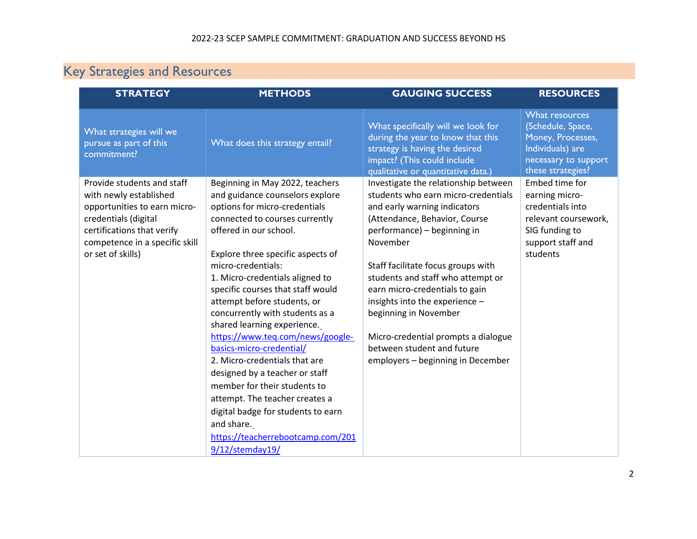# Key Strategies and Resources

| <b>METHODS</b>                                                                                                                                                                                                                                                                                                                                                                                                                                                                                                                                                                                                                                                                                    | <b>GAUGING SUCCESS</b>                                                                                                                                                                                                                                                                                                                                                                                                                                                    | <b>RESOURCES</b>                                                                                                                |  |
|---------------------------------------------------------------------------------------------------------------------------------------------------------------------------------------------------------------------------------------------------------------------------------------------------------------------------------------------------------------------------------------------------------------------------------------------------------------------------------------------------------------------------------------------------------------------------------------------------------------------------------------------------------------------------------------------------|---------------------------------------------------------------------------------------------------------------------------------------------------------------------------------------------------------------------------------------------------------------------------------------------------------------------------------------------------------------------------------------------------------------------------------------------------------------------------|---------------------------------------------------------------------------------------------------------------------------------|--|
| What does this strategy entail?                                                                                                                                                                                                                                                                                                                                                                                                                                                                                                                                                                                                                                                                   | What specifically will we look for<br>during the year to know that this<br>strategy is having the desired<br>impact? (This could include<br>qualitative or quantitative data.)                                                                                                                                                                                                                                                                                            | What resources<br>(Schedule, Space,<br>Money, Processes,<br>Individuals) are<br>necessary to support<br>these strategies?       |  |
| Beginning in May 2022, teachers<br>and guidance counselors explore<br>options for micro-credentials<br>connected to courses currently<br>offered in our school.<br>Explore three specific aspects of<br>micro-credentials:<br>1. Micro-credentials aligned to<br>specific courses that staff would<br>attempt before students, or<br>concurrently with students as a<br>shared learning experience.<br>https://www.teq.com/news/google-<br>basics-micro-credential/<br>2. Micro-credentials that are<br>designed by a teacher or staff<br>member for their students to<br>attempt. The teacher creates a<br>digital badge for students to earn<br>and share.<br>https://teacherrebootcamp.com/201 | Investigate the relationship between<br>students who earn micro-credentials<br>and early warning indicators<br>(Attendance, Behavior, Course<br>performance) – beginning in<br>November<br>Staff facilitate focus groups with<br>students and staff who attempt or<br>earn micro-credentials to gain<br>insights into the experience -<br>beginning in November<br>Micro-credential prompts a dialogue<br>between student and future<br>employers - beginning in December | Embed time for<br>earning micro-<br>credentials into<br>relevant coursework,<br>SIG funding to<br>support staff and<br>students |  |
|                                                                                                                                                                                                                                                                                                                                                                                                                                                                                                                                                                                                                                                                                                   | $9/12/\text{stemday19}/$                                                                                                                                                                                                                                                                                                                                                                                                                                                  |                                                                                                                                 |  |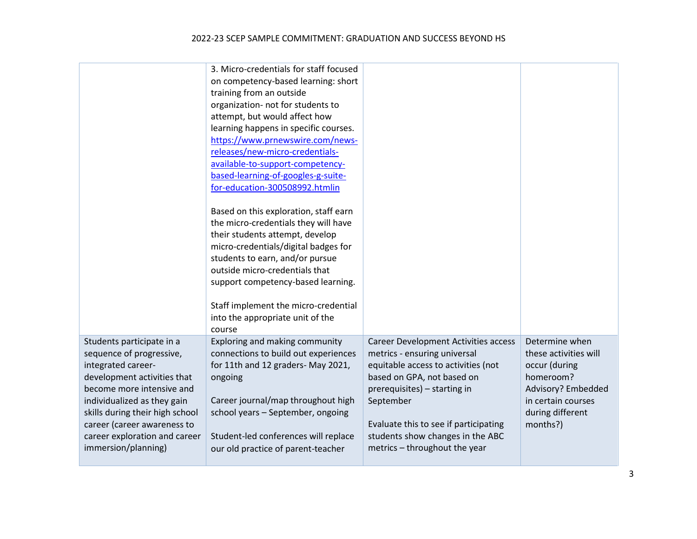|                                                                                                                                                                                                                                                                                                  | 3. Micro-credentials for staff focused<br>on competency-based learning: short<br>training from an outside<br>organization- not for students to<br>attempt, but would affect how<br>learning happens in specific courses.<br>https://www.prnewswire.com/news-<br>releases/new-micro-credentials-<br>available-to-support-competency-<br>based-learning-of-googles-g-suite-         |                                                                                                                                                                                                                                                                                                             |                                                                                                                                                   |
|--------------------------------------------------------------------------------------------------------------------------------------------------------------------------------------------------------------------------------------------------------------------------------------------------|-----------------------------------------------------------------------------------------------------------------------------------------------------------------------------------------------------------------------------------------------------------------------------------------------------------------------------------------------------------------------------------|-------------------------------------------------------------------------------------------------------------------------------------------------------------------------------------------------------------------------------------------------------------------------------------------------------------|---------------------------------------------------------------------------------------------------------------------------------------------------|
|                                                                                                                                                                                                                                                                                                  | for-education-300508992.htmlin<br>Based on this exploration, staff earn<br>the micro-credentials they will have<br>their students attempt, develop<br>micro-credentials/digital badges for<br>students to earn, and/or pursue<br>outside micro-credentials that<br>support competency-based learning.<br>Staff implement the micro-credential<br>into the appropriate unit of the |                                                                                                                                                                                                                                                                                                             |                                                                                                                                                   |
| Students participate in a<br>sequence of progressive,<br>integrated career-<br>development activities that<br>become more intensive and<br>individualized as they gain<br>skills during their high school<br>career (career awareness to<br>career exploration and career<br>immersion/planning) | course<br>Exploring and making community<br>connections to build out experiences<br>for 11th and 12 graders- May 2021,<br>ongoing<br>Career journal/map throughout high<br>school years - September, ongoing<br>Student-led conferences will replace<br>our old practice of parent-teacher                                                                                        | <b>Career Development Activities access</b><br>metrics - ensuring universal<br>equitable access to activities (not<br>based on GPA, not based on<br>prerequisites) - starting in<br>September<br>Evaluate this to see if participating<br>students show changes in the ABC<br>metrics - throughout the year | Determine when<br>these activities will<br>occur (during<br>homeroom?<br>Advisory? Embedded<br>in certain courses<br>during different<br>months?) |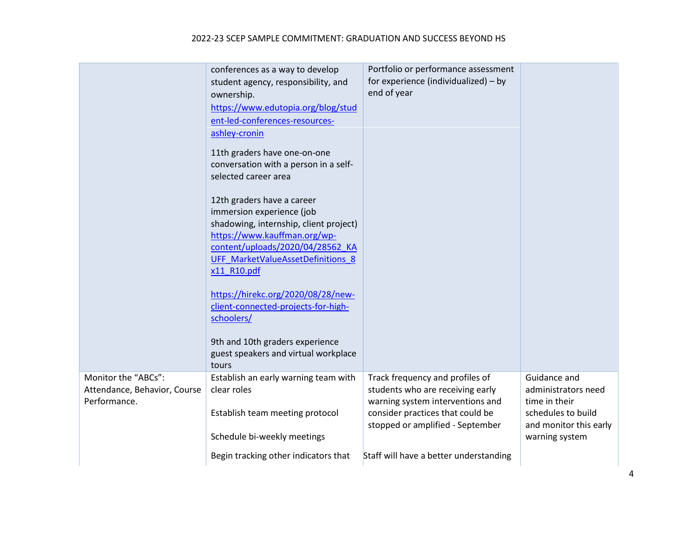#### 2022-23 SCEP SAMPLE COMMITMENT: GRADUATION AND SUCCESS BEYOND HS

|                                                                     | conferences as a way to develop<br>student agency, responsibility, and<br>ownership.<br>https://www.edutopia.org/blog/stud<br>ent-led-conferences-resources-<br>ashley-cronin<br>11th graders have one-on-one<br>conversation with a person in a self-<br>selected career area<br>12th graders have a career<br>immersion experience (job<br>shadowing, internship, client project)<br>https://www.kauffman.org/wp-<br>content/uploads/2020/04/28562 KA<br>UFF MarketValueAssetDefinitions 8<br>x11 R10.pdf<br>https://hirekc.org/2020/08/28/new-<br>client-connected-projects-for-high-<br>schoolers/<br>9th and 10th graders experience<br>guest speakers and virtual workplace<br>tours | Portfolio or performance assessment<br>for experience (individualized) – by<br>end of year                                                                                      |                                                                                                                        |
|---------------------------------------------------------------------|--------------------------------------------------------------------------------------------------------------------------------------------------------------------------------------------------------------------------------------------------------------------------------------------------------------------------------------------------------------------------------------------------------------------------------------------------------------------------------------------------------------------------------------------------------------------------------------------------------------------------------------------------------------------------------------------|---------------------------------------------------------------------------------------------------------------------------------------------------------------------------------|------------------------------------------------------------------------------------------------------------------------|
| Monitor the "ABCs":<br>Attendance, Behavior, Course<br>Performance. | Establish an early warning team with<br>clear roles<br>Establish team meeting protocol<br>Schedule bi-weekly meetings                                                                                                                                                                                                                                                                                                                                                                                                                                                                                                                                                                      | Track frequency and profiles of<br>students who are receiving early<br>warning system interventions and<br>consider practices that could be<br>stopped or amplified - September | Guidance and<br>administrators need<br>time in their<br>schedules to build<br>and monitor this early<br>warning system |
|                                                                     | Begin tracking other indicators that                                                                                                                                                                                                                                                                                                                                                                                                                                                                                                                                                                                                                                                       | Staff will have a better understanding                                                                                                                                          |                                                                                                                        |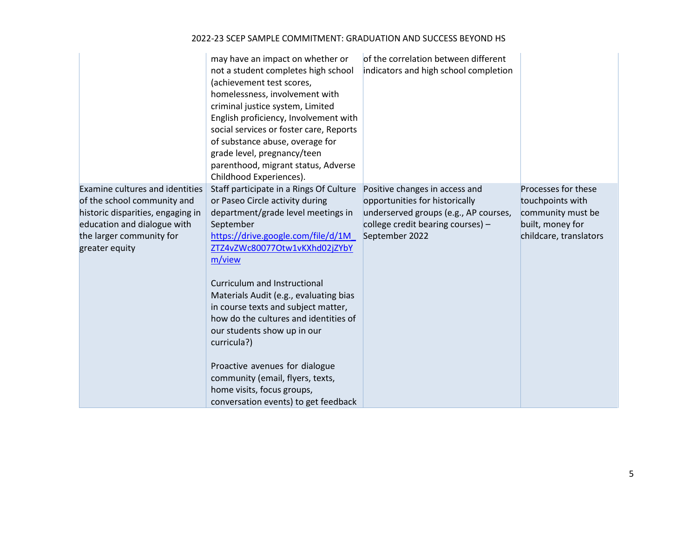|                                                                                                                                                                                         | may have an impact on whether or<br>not a student completes high school<br>(achievement test scores,<br>homelessness, involvement with<br>criminal justice system, Limited<br>English proficiency, Involvement with<br>social services or foster care, Reports<br>of substance abuse, overage for<br>grade level, pregnancy/teen<br>parenthood, migrant status, Adverse<br>Childhood Experiences).                                                                                                                                                                 | of the correlation between different<br>indicators and high school completion                                                                                    |                                                                                                            |
|-----------------------------------------------------------------------------------------------------------------------------------------------------------------------------------------|--------------------------------------------------------------------------------------------------------------------------------------------------------------------------------------------------------------------------------------------------------------------------------------------------------------------------------------------------------------------------------------------------------------------------------------------------------------------------------------------------------------------------------------------------------------------|------------------------------------------------------------------------------------------------------------------------------------------------------------------|------------------------------------------------------------------------------------------------------------|
| <b>Examine cultures and identities</b><br>of the school community and<br>historic disparities, engaging in<br>education and dialogue with<br>the larger community for<br>greater equity | Staff participate in a Rings Of Culture<br>or Paseo Circle activity during<br>department/grade level meetings in<br>September<br>https://drive.google.com/file/d/1M<br>ZTZ4vZWc80077Otw1vKXhd02jZYbY<br>m/view<br>Curriculum and Instructional<br>Materials Audit (e.g., evaluating bias<br>in course texts and subject matter,<br>how do the cultures and identities of<br>our students show up in our<br>curricula?)<br>Proactive avenues for dialogue<br>community (email, flyers, texts,<br>home visits, focus groups,<br>conversation events) to get feedback | Positive changes in access and<br>opportunities for historically<br>underserved groups (e.g., AP courses,<br>college credit bearing courses) -<br>September 2022 | Processes for these<br>touchpoints with<br>community must be<br>built, money for<br>childcare, translators |

#### 2022-23 SCEP SAMPLE COMMITMENT: GRADUATION AND SUCCESS BEYOND HS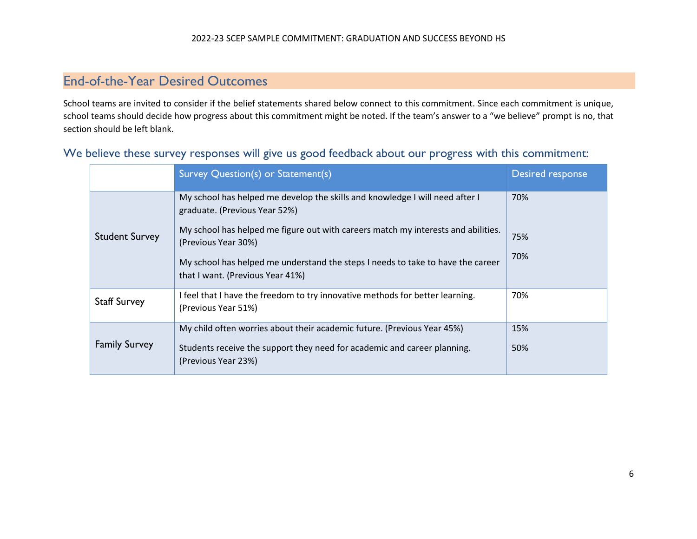### End-of-the-Year Desired Outcomes

School teams are invited to consider if the belief statements shared below connect to this commitment. Since each commitment is unique, school teams should decide how progress about this commitment might be noted. If the team's answer to a "we believe" prompt is no, that section should be left blank.

| We believe these survey responses will give us good feedback about our progress with this commitment: |  |                                    |  |  |  |  |  |                  |
|-------------------------------------------------------------------------------------------------------|--|------------------------------------|--|--|--|--|--|------------------|
|                                                                                                       |  | Survey Question(s) or Statement(s) |  |  |  |  |  | Desired response |

|                       | Survey Question(s) or Statement(s)                                                                                  | Desired response |
|-----------------------|---------------------------------------------------------------------------------------------------------------------|------------------|
|                       | My school has helped me develop the skills and knowledge I will need after I<br>graduate. (Previous Year 52%)       | 70%              |
| <b>Student Survey</b> | My school has helped me figure out with careers match my interests and abilities.<br>(Previous Year 30%)            | 75%              |
|                       | My school has helped me understand the steps I needs to take to have the career<br>that I want. (Previous Year 41%) | 70%              |
| <b>Staff Survey</b>   | I feel that I have the freedom to try innovative methods for better learning.<br>(Previous Year 51%)                | 70%              |
| <b>Family Survey</b>  | My child often worries about their academic future. (Previous Year 45%)                                             | 15%              |
|                       | Students receive the support they need for academic and career planning.<br>(Previous Year 23%)                     | 50%              |